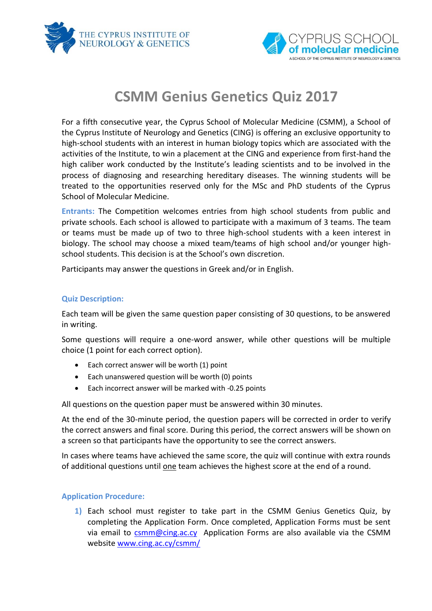



# **CSMM Genius Genetics Quiz 2017**

For a fifth consecutive year, the Cyprus School of Molecular Medicine (CSMM), a School of the Cyprus Institute of Neurology and Genetics (CING) is offering an exclusive opportunity to high-school students with an interest in human biology topics which are associated with the activities of the Institute, to win a placement at the CING and experience from first-hand the high caliber work conducted by the Institute's leading scientists and to be involved in the process of diagnosing and researching hereditary diseases. The winning students will be treated to the opportunities reserved only for the MSc and PhD students of the Cyprus School of Molecular Medicine.

**Entrants:** The Competition welcomes entries from high school students from public and private schools. Each school is allowed to participate with a maximum of 3 teams. The team or teams must be made up of two to three high-school students with a keen interest in biology. The school may choose a mixed team/teams of high school and/or younger highschool students. This decision is at the School's own discretion.

Participants may answer the questions in Greek and/or in English.

## **Quiz Description:**

Each team will be given the same question paper consisting of 30 questions, to be answered in writing.

Some questions will require a one-word answer, while other questions will be multiple choice (1 point for each correct option).

- Each correct answer will be worth (1) point
- Each unanswered question will be worth (0) points
- Each incorrect answer will be marked with -0.25 points

All questions on the question paper must be answered within 30 minutes.

At the end of the 30-minute period, the question papers will be corrected in order to verify the correct answers and final score. During this period, the correct answers will be shown on a screen so that participants have the opportunity to see the correct answers.

In cases where teams have achieved the same score, the quiz will continue with extra rounds of additional questions until one team achieves the highest score at the end of a round.

## **Application Procedure:**

**1)** Each school must register to take part in the CSMM Genius Genetics Quiz, by completing the Application Form. Once completed, Application Forms must be sent via email to **csmm@cing.ac.cy** Application Forms are also available via the CSMM website [www.cing.ac.cy/csmm/](http://www.cing.ac.cy/csmm/)